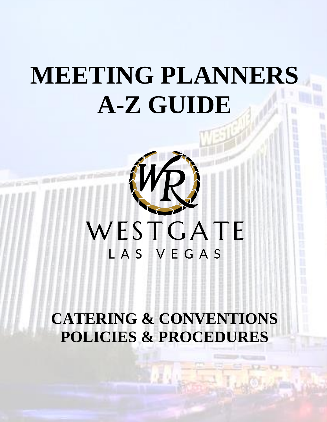## <span id="page-0-0"></span>**MEETING PLANNERS A-Z GUIDE**

# WESTGATE

## **CATERING & CONVENTIONS POLICIES & PROCEDURES**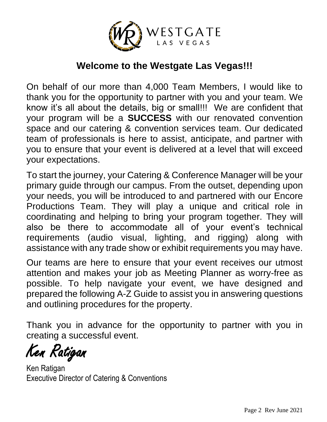

## **Welcome to the Westgate Las Vegas!!!**

On behalf of our more than 4,000 Team Members, I would like to thank you for the opportunity to partner with you and your team. We know it's all about the details, big or small!!! We are confident that your program will be a **SUCCESS** with our renovated convention space and our catering & convention services team. Our dedicated team of professionals is here to assist, anticipate, and partner with you to ensure that your event is delivered at a level that will exceed your expectations.

To start the journey, your Catering & Conference Manager will be your primary guide through our campus. From the outset, depending upon your needs, you will be introduced to and partnered with our Encore Productions Team. They will play a unique and critical role in coordinating and helping to bring your program together. They will also be there to accommodate all of your event's technical requirements (audio visual, lighting, and rigging) along with assistance with any trade show or exhibit requirements you may have.

Our teams are here to ensure that your event receives our utmost attention and makes your job as Meeting Planner as worry-free as possible. To help navigate your event, we have designed and prepared the following A-Z Guide to assist you in answering questions and outlining procedures for the property.

Thank you in advance for the opportunity to partner with you in creating a successful event.

Ken Ratigan

Ken Ratigan Executive Director of Catering & Conventions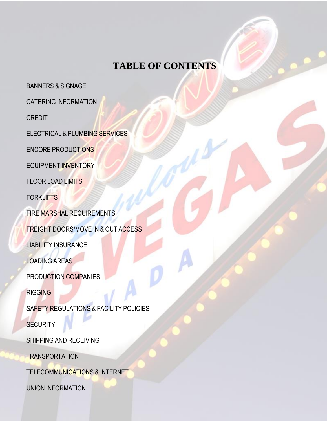## **TABLE OF CONTENTS**

[BANNERS](#page-2-0) & SIGNAGE

CATERING [INFORMATION](#page-3-0)

[CREDIT](#page-5-0)

[ELECTRICAL](#page-6-0) & PLUMBING SERVICES

ENCORE [PRODUCTIONS](#page-7-0)

[EQUIPMENT](#page-18-0) INVENTORY

[FLOOR](#page-8-0) LOAD LIMITS

**[FORKLIFTS](#page-9-0)** 

FIRE MARSHAL [REQUIREMENTS](#page-9-1)

FREIGHT [DOORS/MOVE](#page-11-0) IN & OUT ACCESS

LIABILITY [INSURANCE](#page-12-0)

[LOADING](#page-13-0) AREAS

[PRODUCTION](#page-13-1) COMPANIES

**[RIGGING](#page-14-0)** 

SAFETY [REGULATIONS](#page-15-0) & FACILITY POLICIES

**[SECURITY](#page-16-0)** 

SHIPPING AND [RECEIVING](#page-17-0)

**TRANSPORTATION** 

[TELECOMMUNICATIONS](#page-17-1) & INTERNET

<span id="page-2-0"></span>UNION [INFORMATION](#page-17-2)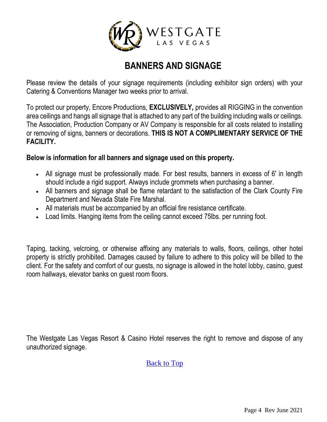

## **BANNERS AND SIGNAGE**

Please review the details of your signage requirements (including exhibitor sign orders) with your Catering & Conventions Manager two weeks prior to arrival.

To protect our property, Encore Productions, **EXCLUSIVELY,** provides all RIGGING in the convention area ceilings and hangs all signage that is attached to any part of the building including walls or ceilings. The Association, Production Company or AV Company is responsible for all costs related to installing or removing of signs, banners or decorations. **THIS IS NOT A COMPLIMENTARY SERVICE OF THE FACILITY.**

#### **Below is information for all banners and signage used on this property.**

- All signage must be professionally made. For best results, banners in excess of 6' in length should include a rigid support. Always include grommets when purchasing a banner.
- All banners and signage shall be flame retardant to the satisfaction of the Clark County Fire Department and Nevada State Fire Marshal.
- All materials must be accompanied by an official fire resistance certificate.
- Load limits. Hanging items from the ceiling cannot exceed 75lbs. per running foot.

Taping, tacking, velcroing, or otherwise affixing any materials to walls, floors, ceilings, other hotel property is strictly prohibited. Damages caused by failure to adhere to this policy will be billed to the client. For the safety and comfort of our guests, no signage is allowed in the hotel lobby, casino, guest room hallways, elevator banks on guest room floors.

<span id="page-3-0"></span>The Westgate Las Vegas Resort & Casino Hotel reserves the right to remove and dispose of any unauthorized signage.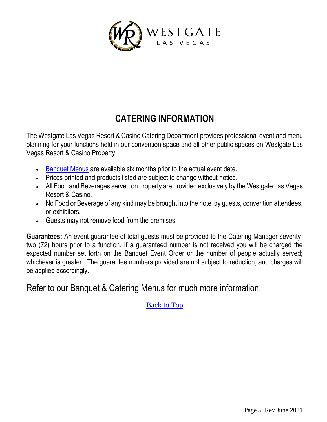

## **CATERING INFORMATION**

The Westgate Las Vegas Resort & Casino Catering Department provides professional event and menu planning for your functions held in our convention space and all other public spaces on Westgate Las Vegas Resort & Casino Property.

- [Banquet Menus](https://drive.google.com/folderview?id=0B2yI9_B2O1YvRHBwaGp1TFhydHc&usp=sharing) are available six months prior to the actual event date.
- Prices printed and products listed are subject to change without notice.
- All Food and Beverages served on property are provided exclusively by the Westgate Las Vegas Resort & Casino.
- No Food or Beverage of any kind may be brought into the hotel by guests, convention attendees, or exhibitors.
- Guests may not remove food from the premises.

**Guarantees:** An event guarantee of total guests must be provided to the Catering Manager seventytwo (72) hours prior to a function. If a guaranteed number is not received you will be charged the expected number set forth on the Banquet Event Order or the number of people actually served; whichever is greater. The guarantee numbers provided are not subject to reduction, and charges will be applied accordingly.

Refer to our Banquet & Catering Menus for much more information.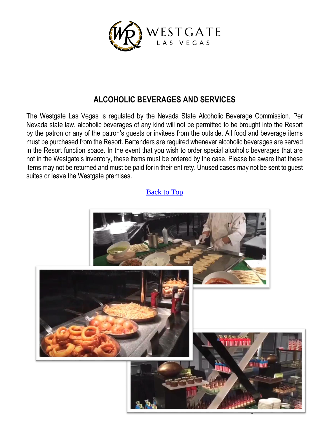

#### **ALCOHOLIC BEVERAGES AND SERVICES**

The Westgate Las Vegas is regulated by the Nevada State Alcoholic Beverage Commission. Per Nevada state law, alcoholic beverages of any kind will not be permitted to be brought into the Resort by the patron or any of the patron's guests or invitees from the outside. All food and beverage items must be purchased from the Resort. Bartenders are required whenever alcoholic beverages are served in the Resort function space. In the event that you wish to order special alcoholic beverages that are not in the Westgate's inventory, these items must be ordered by the case. Please be aware that these items may not be returned and must be paid for in their entirety. Unused cases may not be sent to guest suites or leave the Westgate premises.

<span id="page-5-0"></span>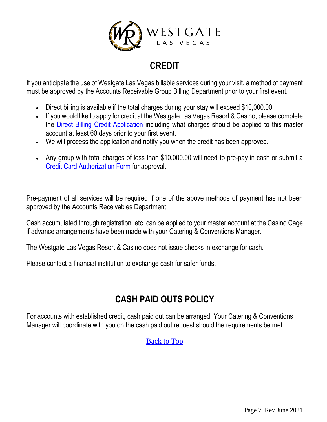

## **CREDIT**

If you anticipate the use of Westgate Las Vegas billable services during your visit, a method of payment must be approved by the Accounts Receivable Group Billing Department prior to your first event.

- Direct billing is available if the total charges during your stay will exceed \$10,000.00.
- If you would like to apply for credit at the Westgate Las Vegas Resort & Casino, please complete the [Direct Billing Credit Application](https://drive.google.com/file/d/0B2yI9_B2O1YvdkZNS2NCb2c5Wjg/view?usp=sharing) including what charges should be applied to this master account at least 60 days prior to your first event.
- We will process the application and notify you when the credit has been approved.
- Any group with total charges of less than \$10,000.00 will need to pre-pay in cash or submit a [Credit Card Authorization Form](https://drive.google.com/file/d/0B2yI9_B2O1YvT1N1RDI4N1dxck0/view?usp=sharing) for approval.

Pre-payment of all services will be required if one of the above methods of payment has not been approved by the Accounts Receivables Department.

Cash accumulated through registration, etc. can be applied to your master account at the Casino Cage if advance arrangements have been made with your Catering & Conventions Manager.

The Westgate Las Vegas Resort & Casino does not issue checks in exchange for cash.

Please contact a financial institution to exchange cash for safer funds.

## **CASH PAID OUTS POLICY**

<span id="page-6-0"></span>For accounts with established credit, cash paid out can be arranged. Your Catering & Conventions Manager will coordinate with you on the cash paid out request should the requirements be met.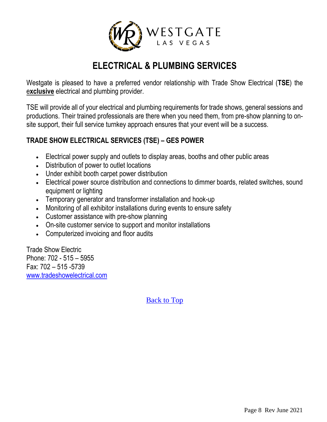

## **ELECTRICAL & PLUMBING SERVICES**

Westgate is pleased to have a preferred vendor relationship with Trade Show Electrical (**TSE**) the e**xclusive** electrical and plumbing provider.

TSE will provide all of your electrical and plumbing requirements for trade shows, general sessions and productions. Their trained professionals are there when you need them, from pre-show planning to onsite support, their full service turnkey approach ensures that your event will be a success.

#### **TRADE SHOW ELECTRICAL SERVICES (TSE) – GES POWER**

- Electrical power supply and outlets to display areas, booths and other public areas
- Distribution of power to outlet locations
- Under exhibit booth carpet power distribution
- Electrical power source distribution and connections to dimmer boards, related switches, sound equipment or lighting
- Temporary generator and transformer installation and hook-up
- Monitoring of all exhibitor installations during events to ensure safety
- Customer assistance with pre-show planning
- On-site customer service to support and monitor installations
- Computerized invoicing and floor audits

<span id="page-7-0"></span>Trade Show Electric Phone: 702 - 515 – 5955 Fax: 702 – 515 -5739 [www.tradeshowelectrical.com](http://www.tradeshowelectrical.com/)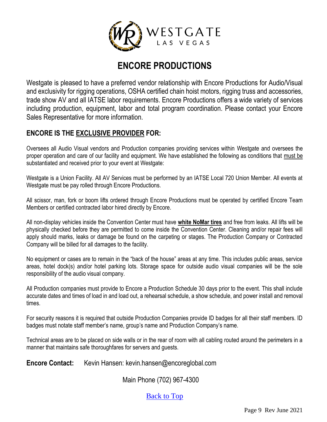

## **ENCORE PRODUCTIONS**

Westgate is pleased to have a preferred vendor relationship with Encore Productions for Audio/Visual and exclusivity for rigging operations, OSHA certified chain hoist motors, rigging truss and accessories, trade show AV and all IATSE labor requirements. Encore Productions offers a wide variety of services including production, equipment, labor and total program coordination. Please contact your Encore Sales Representative for more information.

#### **ENCORE IS THE EXCLUSIVE PROVIDER FOR:**

Oversees all Audio Visual vendors and Production companies providing services within Westgate and oversees the proper operation and care of our facility and equipment. We have established the following as conditions that must be substantiated and received prior to your event at Westgate:

Westgate is a Union Facility. All AV Services must be performed by an IATSE Local 720 Union Member. All events at Westgate must be pay rolled through Encore Productions.

All scissor, man, fork or boom lifts ordered through Encore Productions must be operated by certified Encore Team Members or certified contracted labor hired directly by Encore.

All non-display vehicles inside the Convention Center must have **white NoMar tires** and free from leaks. All lifts will be physically checked before they are permitted to come inside the Convention Center. Cleaning and/or repair fees will apply should marks, leaks or damage be found on the carpeting or stages. The Production Company or Contracted Company will be billed for all damages to the facility.

No equipment or cases are to remain in the "back of the house" areas at any time. This includes public areas, service areas, hotel dock(s) and/or hotel parking lots. Storage space for outside audio visual companies will be the sole responsibility of the audio visual company.

All Production companies must provide to Encore a Production Schedule 30 days prior to the event. This shall include accurate dates and times of load in and load out, a rehearsal schedule, a show schedule, and power install and removal times.

For security reasons it is required that outside Production Companies provide ID badges for all their staff members. ID badges must notate staff member's name, group's name and Production Company's name.

Technical areas are to be placed on side walls or in the rear of room with all cabling routed around the perimeters in a manner that maintains safe thoroughfares for servers and guests.

<span id="page-8-0"></span>**Encore Contact:** Kevin Hansen: kevin.hansen@encoreglobal.com

Main Phone (702) 967-4300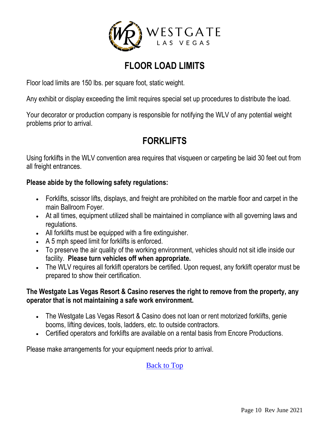

## **FLOOR LOAD LIMITS**

Floor load limits are 150 lbs. per square foot, static weight.

Any exhibit or display exceeding the limit requires special set up procedures to distribute the load.

Your decorator or production company is responsible for notifying the WLV of any potential weight problems prior to arrival.

## **FORKLIFTS**

<span id="page-9-0"></span>Using forklifts in the WLV convention area requires that visqueen or carpeting be laid 30 feet out from all freight entrances.

#### **Please abide by the following safety regulations:**

- Forklifts, scissor lifts, displays, and freight are prohibited on the marble floor and carpet in the main Ballroom Foyer.
- At all times, equipment utilized shall be maintained in compliance with all governing laws and regulations.
- All forklifts must be equipped with a fire extinguisher.
- A 5 mph speed limit for forklifts is enforced.
- To preserve the air quality of the working environment, vehicles should not sit idle inside our facility. **Please turn vehicles off when appropriate.**
- The WLV requires all forklift operators be certified. Upon request, any forklift operator must be prepared to show their certification.

#### **The Westgate Las Vegas Resort & Casino reserves the right to remove from the property, any operator that is not maintaining a safe work environment.**

- The Westgate Las Vegas Resort & Casino does not loan or rent motorized forklifts, genie booms, lifting devices, tools, ladders, etc. to outside contractors.
- Certified operators and forklifts are available on a rental basis from Encore Productions.

<span id="page-9-1"></span>Please make arrangements for your equipment needs prior to arrival.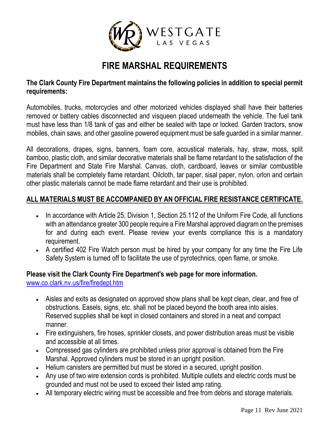

## **FIRE MARSHAL REQUIREMENTS**

#### **The Clark County Fire Department maintains the following policies in addition to special permit requirements:**

Automobiles, trucks, motorcycles and other motorized vehicles displayed shall have their batteries removed or battery cables disconnected and visqueen placed underneath the vehicle. The fuel tank must have less than 1/8 tank of gas and either be sealed with tape or locked. Garden tractors, snow mobiles, chain saws, and other gasoline powered equipment must be safe guarded in a similar manner.

All decorations, drapes, signs, banners, foam core, acoustical materials, hay, straw, moss, split bamboo, plastic cloth, and similar decorative materials shall be flame retardant to the satisfaction of the Fire Department and State Fire Marshal. Canvas, cloth, cardboard, leaves or similar combustible materials shall be completely flame retardant. Oilcloth, tar paper, sisal paper, nylon, orlon and certain other plastic materials cannot be made flame retardant and their use is prohibited.

#### **ALL MATERIALS MUST BE ACCOMPANIED BY AN OFFICIAL FIRE RESISTANCE CERTIFICATE.**

- In accordance with Article 25, Division 1, Section 25.112 of the Uniform Fire Code, all functions with an attendance greater 300 people require a Fire Marshal approved diagram on the premises for and during each event. Please review your events compliance this is a mandatory requirement.
- A certified 402 Fire Watch person must be hired by your company for any time the Fire Life Safety System is turned off to facilitate the use of pyrotechnics, open flame, or smoke.

#### **Please visit the Clark County Fire Department's web page for more information.** [www.co.clark.nv.us/fire/firedept.htm](http://www.co.clark.nv.us/fire/firedept.htm)

- Aisles and exits as designated on approved show plans shall be kept clean, clear, and free of obstructions. Easels, signs, etc. shall not be placed beyond the booth area into aisles. Reserved supplies shall be kept in closed containers and stored in a neat and compact manner.
- Fire extinguishers, fire hoses, sprinkler closets, and power distribution areas must be visible and accessible at all times.
- Compressed gas cylinders are prohibited unless prior approval is obtained from the Fire Marshal. Approved cylinders must be stored in an upright position.
- Helium canisters are permitted but must be stored in a secured, upright position.
- Any use of two wire extension cords is prohibited. Multiple outlets and electric cords must be grounded and must not be used to exceed their listed amp rating.
- All temporary electric wiring must be accessible and free from debris and storage materials.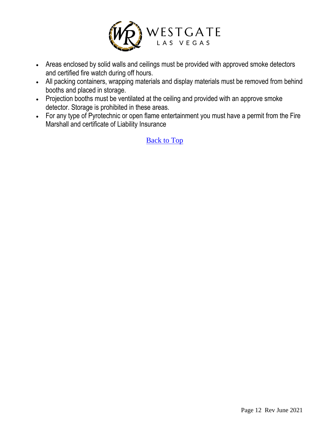

- Areas enclosed by solid walls and ceilings must be provided with approved smoke detectors and certified fire watch during off hours.
- All packing containers, wrapping materials and display materials must be removed from behind booths and placed in storage.
- Projection booths must be ventilated at the ceiling and provided with an approve smoke detector. Storage is prohibited in these areas.
- <span id="page-11-0"></span>• For any type of Pyrotechnic or open flame entertainment you must have a permit from the Fire Marshall and certificate of Liability Insurance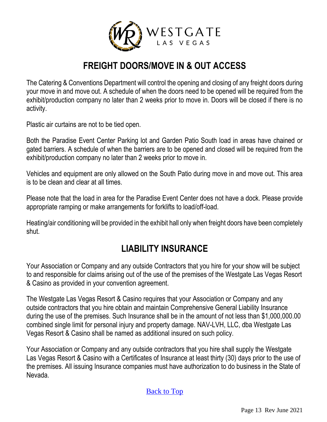

## **FREIGHT DOORS/MOVE IN & OUT ACCESS**

The Catering & Conventions Department will control the opening and closing of any freight doors during your move in and move out. A schedule of when the doors need to be opened will be required from the exhibit/production company no later than 2 weeks prior to move in. Doors will be closed if there is no activity.

Plastic air curtains are not to be tied open.

Both the Paradise Event Center Parking lot and Garden Patio South load in areas have chained or gated barriers. A schedule of when the barriers are to be opened and closed will be required from the exhibit/production company no later than 2 weeks prior to move in.

Vehicles and equipment are only allowed on the South Patio during move in and move out. This area is to be clean and clear at all times.

Please note that the load in area for the Paradise Event Center does not have a dock. Please provide appropriate ramping or make arrangements for forklifts to load/off-load.

Heating/air conditioning will be provided in the exhibit hall only when freight doors have been completely shut.

## **LIABILITY INSURANCE**

<span id="page-12-0"></span>Your Association or Company and any outside Contractors that you hire for your show will be subject to and responsible for claims arising out of the use of the premises of the Westgate Las Vegas Resort & Casino as provided in your convention agreement.

The Westgate Las Vegas Resort & Casino requires that your Association or Company and any outside contractors that you hire obtain and maintain Comprehensive General Liability Insurance during the use of the premises. Such Insurance shall be in the amount of not less than \$1,000,000.00 combined single limit for personal injury and property damage. NAV-LVH, LLC, dba Westgate Las Vegas Resort & Casino shall be named as additional insured on such policy.

Your Association or Company and any outside contractors that you hire shall supply the Westgate Las Vegas Resort & Casino with a Certificates of Insurance at least thirty (30) days prior to the use of the premises. All issuing Insurance companies must have authorization to do business in the State of Nevada.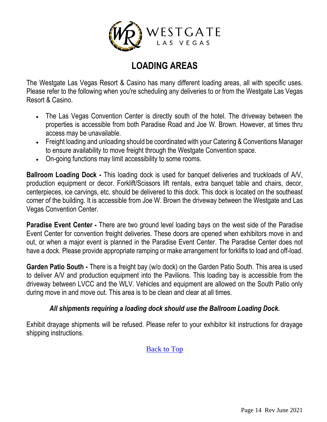

## **LOADING AREAS**

<span id="page-13-0"></span>The Westgate Las Vegas Resort & Casino has many different loading areas, all with specific uses. Please refer to the following when you're scheduling any deliveries to or from the Westgate Las Vegas Resort & Casino.

- The Las Vegas Convention Center is directly south of the hotel. The driveway between the properties is accessible from both Paradise Road and Joe W. Brown. However, at times thru access may be unavailable.
- Freight loading and unloading should be coordinated with your Catering & Conventions Manager to ensure availability to move freight through the Westgate Convention space.
- On-going functions may limit accessibility to some rooms.

**Ballroom Loading Dock -** This loading dock is used for banquet deliveries and truckloads of A/V, production equipment or decor. Forklift/Scissors lift rentals, extra banquet table and chairs, decor, centerpieces, ice carvings, etc. should be delivered to this dock. This dock is located on the southeast corner of the building. It is accessible from Joe W. Brown the driveway between the Westgate and Las Vegas Convention Center.

**Paradise Event Center -** There are two ground level loading bays on the west side of the Paradise Event Center for convention freight deliveries. These doors are opened when exhibitors move in and out, or when a major event is planned in the Paradise Event Center. The Paradise Center does not have a dock. Please provide appropriate ramping or make arrangement for forklifts to load and off-load.

**Garden Patio South -** There is a freight bay (w/o dock) on the Garden Patio South. This area is used to deliver A/V and production equipment into the Pavilions. This loading bay is accessible from the driveway between LVCC and the WLV. Vehicles and equipment are allowed on the South Patio only during move in and move out. This area is to be clean and clear at all times.

#### *All shipments requiring a loading dock should use the Ballroom Loading Dock.*

<span id="page-13-1"></span>Exhibit drayage shipments will be refused. Please refer to your exhibitor kit instructions for drayage shipping instructions.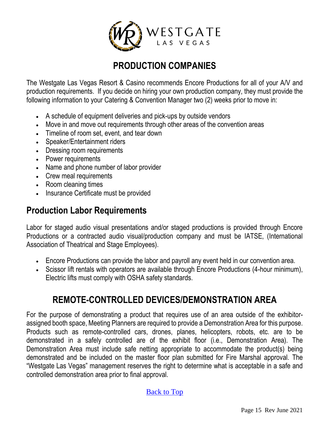

## **PRODUCTION COMPANIES**

The Westgate Las Vegas Resort & Casino recommends Encore Productions for all of your A/V and production requirements. If you decide on hiring your own production company, they must provide the following information to your Catering & Convention Manager two (2) weeks prior to move in:

- A schedule of equipment deliveries and pick-ups by outside vendors
- Move in and move out requirements through other areas of the convention areas
- Timeline of room set, event, and tear down
- Speaker/Entertainment riders
- Dressing room requirements
- Power requirements
- Name and phone number of labor provider
- Crew meal requirements
- Room cleaning times
- Insurance Certificate must be provided

## **Production Labor Requirements**

Labor for staged audio visual presentations and/or staged productions is provided through Encore Productions or a contracted audio visual/production company and must be IATSE, (International Association of Theatrical and Stage Employees).

- Encore Productions can provide the labor and payroll any event held in our convention area.
- Scissor lift rentals with operators are available through Encore Productions (4-hour minimum), Electric lifts must comply with OSHA safety standards.

## **REMOTE-CONTROLLED DEVICES/DEMONSTRATION AREA**

<span id="page-14-0"></span>For the purpose of demonstrating a product that requires use of an area outside of the exhibitorassigned booth space, Meeting Planners are required to provide a Demonstration Area for this purpose. Products such as remote-controlled cars, drones, planes, helicopters, robots, etc. are to be demonstrated in a safely controlled are of the exhibit floor (i.e., Demonstration Area). The Demonstration Area must include safe netting appropriate to accommodate the product(s) being demonstrated and be included on the master floor plan submitted for Fire Marshal approval. The "Westgate Las Vegas" management reserves the right to determine what is acceptable in a safe and controlled demonstration area prior to final approval.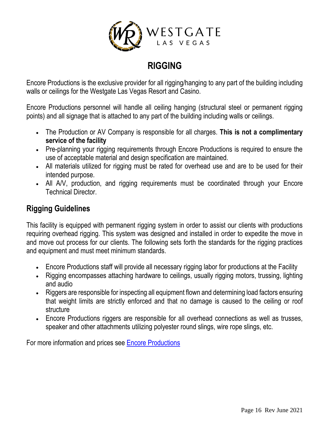

## **RIGGING**

Encore Productions is the exclusive provider for all rigging/hanging to any part of the building including walls or ceilings for the Westgate Las Vegas Resort and Casino.

Encore Productions personnel will handle all ceiling hanging (structural steel or permanent rigging points) and all signage that is attached to any part of the building including walls or ceilings.

- The Production or AV Company is responsible for all charges. **This is not a complimentary service of the facility**
- Pre-planning your rigging requirements through Encore Productions is required to ensure the use of acceptable material and design specification are maintained.
- All materials utilized for rigging must be rated for overhead use and are to be used for their intended purpose.
- All A/V, production, and rigging requirements must be coordinated through your Encore Technical Director.

#### **Rigging Guidelines**

This facility is equipped with permanent rigging system in order to assist our clients with productions requiring overhead rigging. This system was designed and installed in order to expedite the move in and move out process for our clients. The following sets forth the standards for the rigging practices and equipment and must meet minimum standards.

- Encore Productions staff will provide all necessary rigging labor for productions at the Facility
- Rigging encompasses attaching hardware to ceilings, usually rigging motors, trussing, lighting and audio
- Riggers are responsible for inspecting all equipment flown and determining load factors ensuring that weight limits are strictly enforced and that no damage is caused to the ceiling or roof structure
- Encore Productions riggers are responsible for all overhead connections as well as trusses, speaker and other attachments utilizing polyester round slings, wire rope slings, etc.

<span id="page-15-0"></span>For more information and prices see [Encore Productions](#page-7-0)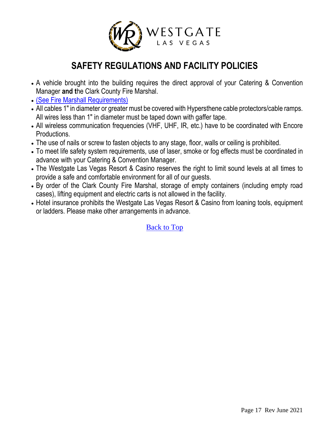

## **SAFETY REGULATIONS AND FACILITY POLICIES**

- A vehicle brought into the building requires the direct approval of your Catering & Convention Manager **and t**he Clark County Fire Marshal.
- [\(See Fire Marshall Requirements\)](https://drive.google.com/file/d/0B2yI9_B2O1YvVlE2WngyWjVIbjg/view?usp=sharing)
- All cables 1" in diameter or greater must be covered with Hypersthene cable protectors/cable ramps. All wires less than 1" in diameter must be taped down with gaffer tape.
- All wireless communication frequencies (VHF, UHF, IR, etc.) have to be coordinated with Encore Productions.
- The use of nails or screw to fasten objects to any stage, floor, walls or ceiling is prohibited.
- To meet life safety system requirements, use of laser, smoke or fog effects must be coordinated in advance with your Catering & Convention Manager.
- The Westgate Las Vegas Resort & Casino reserves the right to limit sound levels at all times to provide a safe and comfortable environment for all of our guests.
- By order of the Clark County Fire Marshal, storage of empty containers (including empty road cases), lifting equipment and electric carts is not allowed in the facility.
- <span id="page-16-0"></span>• Hotel insurance prohibits the Westgate Las Vegas Resort & Casino from loaning tools, equipment or ladders. Please make other arrangements in advance.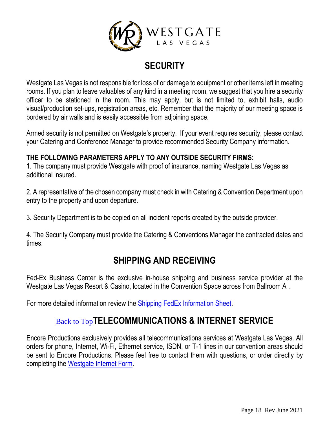

## **SECURITY**

Westgate Las Vegas is not responsible for loss of or damage to equipment or other items left in meeting rooms. If you plan to leave valuables of any kind in a meeting room, we suggest that you hire a security officer to be stationed in the room. This may apply, but is not limited to, exhibit halls, audio visual/production set-ups, registration areas, etc. Remember that the majority of our meeting space is bordered by air walls and is easily accessible from adjoining space.

Armed security is not permitted on Westgate's property. If your event requires security, please contact your Catering and Conference Manager to provide recommended Security Company information.

#### **THE FOLLOWING PARAMETERS APPLY TO ANY OUTSIDE SECURITY FIRMS:**

1. The company must provide Westgate with proof of insurance, naming Westgate Las Vegas as additional insured.

2. A representative of the chosen company must check in with Catering & Convention Department upon entry to the property and upon departure.

3. Security Department is to be copied on all incident reports created by the outside provider.

<span id="page-17-0"></span>4. The Security Company must provide the Catering & Conventions Manager the contracted dates and times.

## **SHIPPING AND RECEIVING**

Fed-Ex Business Center is the exclusive in-house shipping and business service provider at the Westgate Las Vegas Resort & Casino, located in the Convention Space across from Ballroom A .

<span id="page-17-1"></span>For more detailed information review the [Shipping FedEx Information Sheet.](https://drive.google.com/file/d/0B2yI9_B2O1YvdzFubEQyd3RGNGM/view?usp=sharing)

## [Back to Top](#page-0-0)**TELECOMMUNICATIONS & INTERNET SERVICE**

<span id="page-17-2"></span>Encore Productions exclusively provides all telecommunications services at Westgate Las Vegas. All orders for phone, Internet, Wi-Fi, Ethernet service, ISDN, or T-1 lines in our convention areas should be sent to Encore Productions. Please feel free to contact them with questions, or order directly by completing the [Westgate Internet Form.](https://drive.google.com/file/d/0B2yI9_B2O1YvNzNzY0w3a25kamM/view?usp=sharing)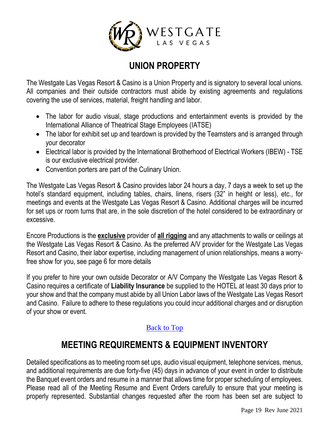

## **UNION PROPERTY**

The Westgate Las Vegas Resort & Casino is a Union Property and is signatory to several local unions. All companies and their outside contractors must abide by existing agreements and regulations covering the use of services, material, freight handling and labor.

- The labor for audio visual, stage productions and entertainment events is provided by the International Alliance of Theatrical Stage Employees (IATSE)
- The labor for exhibit set up and teardown is provided by the Teamsters and is arranged through your decorator
- Electrical labor is provided by the International Brotherhood of Electrical Workers (IBEW) TSE is our exclusive electrical provider.
- Convention porters are part of the Culinary Union.

The Westgate Las Vegas Resort & Casino provides labor 24 hours a day, 7 days a week to set up the hotel's standard equipment, including tables, chairs, linens, risers (32" in height or less), etc., for meetings and events at the Westgate Las Vegas Resort & Casino. Additional charges will be incurred for set ups or room turns that are, in the sole discretion of the hotel considered to be extraordinary or excessive.

Encore Productions is the **exclusive** provider of **all rigging** and any attachments to walls or ceilings at the Westgate Las Vegas Resort & Casino. As the preferred A/V provider for the Westgate Las Vegas Resort and Casino, their labor expertise, including management of union relationships, means a worryfree show for you, see page 6 for more details

If you prefer to hire your own outside Decorator or A/V Company the Westgate Las Vegas Resort & Casino requires a certificate of **Liability Insurance** be supplied to the HOTEL at least 30 days prior to your show and that the company must abide by all Union Labor laws of the Westgate Las Vegas Resort and Casino. Failure to adhere to these regulations you could incur additional charges and or disruption of your show or event.

#### [Back to Top](#page-0-0)

## **MEETING REQUIREMENTS & EQUIPMENT INVENTORY**

<span id="page-18-0"></span>Detailed specifications as to meeting room set ups, audio visual equipment, telephone services, menus, and additional requirements are due forty-five (45) days in advance of your event in order to distribute the Banquet event orders and resume in a manner that allows time for proper scheduling of employees. Please read all of the Meeting Resume and Event Orders carefully to ensure that your meeting is properly represented. Substantial changes requested after the room has been set are subject to